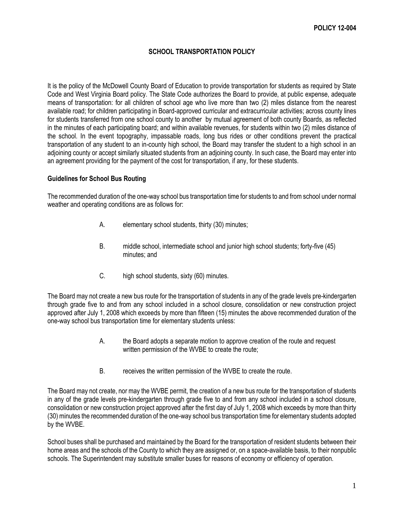## **SCHOOL TRANSPORTATION POLICY**

It is the policy of the McDowell County Board of Education to provide transportation for students as required by State Code and West Virginia Board policy. The State Code authorizes the Board to provide, at public expense, adequate means of transportation: for all children of school age who live more than two (2) miles distance from the nearest available road; for children participating in Board-approved curricular and extracurricular activities; across county lines for students transferred from one school county to another by mutual agreement of both county Boards, as reflected in the minutes of each participating board; and within available revenues, for students within two (2) miles distance of the school. In the event topography, impassable roads, long bus rides or other conditions prevent the practical transportation of any student to an in-county high school, the Board may transfer the student to a high school in an adjoining county or accept similarly situated students from an adjoining county. In such case, the Board may enter into an agreement providing for the payment of the cost for transportation, if any, for these students.

## **Guidelines for School Bus Routing**

The recommended duration of the one-way school bus transportation time for students to and from school under normal weather and operating conditions are as follows for:

- A. elementary school students, thirty (30) minutes;
- B. middle school, intermediate school and junior high school students; forty-five (45) minutes; and
- C. high school students, sixty (60) minutes.

The Board may not create a new bus route for the transportation of students in any of the grade levels pre-kindergarten through grade five to and from any school included in a school closure, consolidation or new construction project approved after July 1, 2008 which exceeds by more than fifteen (15) minutes the above recommended duration of the one-way school bus transportation time for elementary students unless:

- A. the Board adopts a separate motion to approve creation of the route and request written permission of the WVBE to create the route;
- B. receives the written permission of the WVBE to create the route.

The Board may not create, nor may the WVBE permit, the creation of a new bus route for the transportation of students in any of the grade levels pre-kindergarten through grade five to and from any school included in a school closure, consolidation or new construction project approved after the first day of July 1, 2008 which exceeds by more than thirty (30) minutes the recommended duration of the one-way school bus transportation time for elementary students adopted by the WVBE.

School buses shall be purchased and maintained by the Board for the transportation of resident students between their home areas and the schools of the County to which they are assigned or, on a space-available basis, to their nonpublic schools. The Superintendent may substitute smaller buses for reasons of economy or efficiency of operation.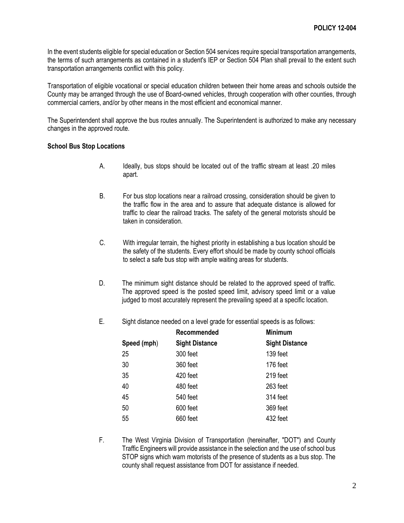In the event students eligible for special education or Section 504 services require special transportation arrangements, the terms of such arrangements as contained in a student's IEP or Section 504 Plan shall prevail to the extent such transportation arrangements conflict with this policy.

Transportation of eligible vocational or special education children between their home areas and schools outside the County may be arranged through the use of Board-owned vehicles, through cooperation with other counties, through commercial carriers, and/or by other means in the most efficient and economical manner.

The Superintendent shall approve the bus routes annually. The Superintendent is authorized to make any necessary changes in the approved route.

## **School Bus Stop Locations**

- A. Ideally, bus stops should be located out of the traffic stream at least .20 miles apart.
- B. For bus stop locations near a railroad crossing, consideration should be given to the traffic flow in the area and to assure that adequate distance is allowed for traffic to clear the railroad tracks. The safety of the general motorists should be taken in consideration.
- C. With irregular terrain, the highest priority in establishing a bus location should be the safety of the students. Every effort should be made by county school officials to select a safe bus stop with ample waiting areas for students.
- D. The minimum sight distance should be related to the approved speed of traffic. The approved speed is the posted speed limit, advisory speed limit or a value judged to most accurately represent the prevailing speed at a specific location.
- E. Sight distance needed on a level grade for essential speeds is as follows:

|             | Recommended           | <b>Minimum</b>        |
|-------------|-----------------------|-----------------------|
| Speed (mph) | <b>Sight Distance</b> | <b>Sight Distance</b> |
| 25          | 300 feet              | 139 feet              |
| 30          | 360 feet              | 176 feet              |
| 35          | 420 feet              | 219 feet              |
| 40          | 480 feet              | 263 feet              |
| 45          | 540 feet              | 314 feet              |
| 50          | 600 feet              | 369 feet              |
| 55          | 660 feet              | 432 feet              |

F. The West Virginia Division of Transportation (hereinafter, "DOT") and County Traffic Engineers will provide assistance in the selection and the use of school bus STOP signs which warn motorists of the presence of students as a bus stop. The county shall request assistance from DOT for assistance if needed.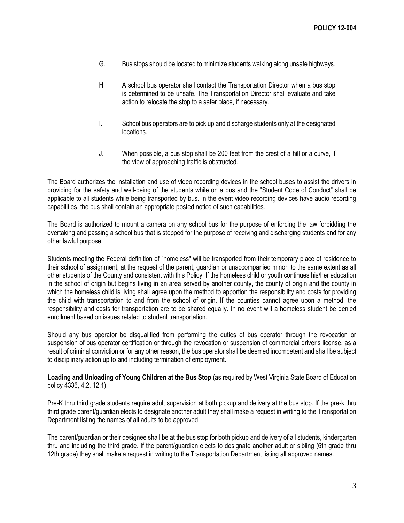- G. Bus stops should be located to minimize students walking along unsafe highways.
- H. A school bus operator shall contact the Transportation Director when a bus stop is determined to be unsafe. The Transportation Director shall evaluate and take action to relocate the stop to a safer place, if necessary.
- I. School bus operators are to pick up and discharge students only at the designated locations.
- J. When possible, a bus stop shall be 200 feet from the crest of a hill or a curve, if the view of approaching traffic is obstructed.

The Board authorizes the installation and use of video recording devices in the school buses to assist the drivers in providing for the safety and well-being of the students while on a bus and the "Student Code of Conduct" shall be applicable to all students while being transported by bus. In the event video recording devices have audio recording capabilities, the bus shall contain an appropriate posted notice of such capabilities.

The Board is authorized to mount a camera on any school bus for the purpose of enforcing the law forbidding the overtaking and passing a school bus that is stopped for the purpose of receiving and discharging students and for any other lawful purpose.

Students meeting the Federal definition of "homeless" will be transported from their temporary place of residence to their school of assignment, at the request of the parent, guardian or unaccompanied minor, to the same extent as all other students of the County and consistent with this Policy. If the homeless child or youth continues his/her education in the school of origin but begins living in an area served by another county, the county of origin and the county in which the homeless child is living shall agree upon the method to apportion the responsibility and costs for providing the child with transportation to and from the school of origin. If the counties cannot agree upon a method, the responsibility and costs for transportation are to be shared equally. In no event will a homeless student be denied enrollment based on issues related to student transportation.

Should any bus operator be disqualified from performing the duties of bus operator through the revocation or suspension of bus operator certification or through the revocation or suspension of commercial driver's license, as a result of criminal conviction or for any other reason, the bus operator shall be deemed incompetent and shall be subject to disciplinary action up to and including termination of employment.

**Loading and Unloading of Young Children at the Bus Stop** (as required by West Virginia State Board of Education policy 4336, 4.2, 12.1)

Pre-K thru third grade students require adult supervision at both pickup and delivery at the bus stop. If the pre-k thru third grade parent/guardian elects to designate another adult they shall make a request in writing to the Transportation Department listing the names of all adults to be approved.

The parent/guardian or their designee shall be at the bus stop for both pickup and delivery of all students, kindergarten thru and including the third grade. If the parent/guardian elects to designate another adult or sibling (6th grade thru 12th grade) they shall make a request in writing to the Transportation Department listing all approved names.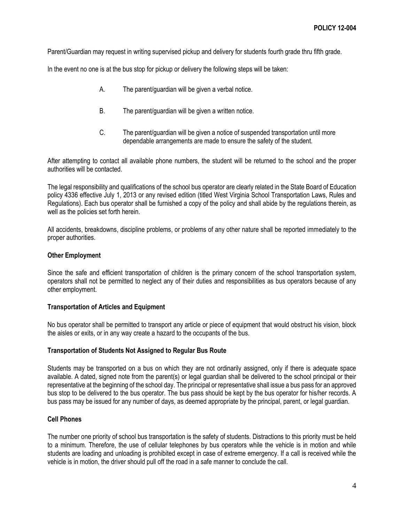Parent/Guardian may request in writing supervised pickup and delivery for students fourth grade thru fifth grade.

In the event no one is at the bus stop for pickup or delivery the following steps will be taken:

- A. The parent/guardian will be given a verbal notice.
- B. The parent/guardian will be given a written notice.
- C. The parent/guardian will be given a notice of suspended transportation until more dependable arrangements are made to ensure the safety of the student.

After attempting to contact all available phone numbers, the student will be returned to the school and the proper authorities will be contacted.

The legal responsibility and qualifications of the school bus operator are clearly related in the State Board of Education policy 4336 effective July 1, 2013 or any revised edition (titled West Virginia School Transportation Laws, Rules and Regulations). Each bus operator shall be furnished a copy of the policy and shall abide by the regulations therein, as well as the policies set forth herein.

All accidents, breakdowns, discipline problems, or problems of any other nature shall be reported immediately to the proper authorities.

### **Other Employment**

Since the safe and efficient transportation of children is the primary concern of the school transportation system, operators shall not be permitted to neglect any of their duties and responsibilities as bus operators because of any other employment.

#### **Transportation of Articles and Equipment**

No bus operator shall be permitted to transport any article or piece of equipment that would obstruct his vision, block the aisles or exits, or in any way create a hazard to the occupants of the bus.

## **Transportation of Students Not Assigned to Regular Bus Route**

Students may be transported on a bus on which they are not ordinarily assigned, only if there is adequate space available. A dated, signed note from the parent(s) or legal guardian shall be delivered to the school principal or their representative at the beginning of the school day. The principal or representative shall issue a bus pass for an approved bus stop to be delivered to the bus operator. The bus pass should be kept by the bus operator for his/her records. A bus pass may be issued for any number of days, as deemed appropriate by the principal, parent, or legal guardian.

## **Cell Phones**

The number one priority of school bus transportation is the safety of students. Distractions to this priority must be held to a minimum. Therefore, the use of cellular telephones by bus operators while the vehicle is in motion and while students are loading and unloading is prohibited except in case of extreme emergency. If a call is received while the vehicle is in motion, the driver should pull off the road in a safe manner to conclude the call.